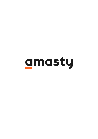# amasty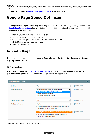For more details see the [Google Page Speed Optimizer](https://amasty.com/magento-google-page-speed-optimizer.html) extension page.

## **Google Page Speed Optimizer**

Improve your website performance by optimizing the code structure and images and get higher score in [Google PageSpeed Insights.](https://developers.google.com/speed/pagespeed/insights/) Easily optimize JavaScript/CSS and reduce the total size of images with Google Page Speed optimizer.

- Improve your website position in Google ranking
- Reduce the size of images in a few clicks
- Enhance store pages performance with the code optimization tool
- Minify JS/CSS to make your code clear
- Optimize page rendering

## **General Settings**

The extension settings page can be found in **Admin Panel → System → Configuration → Google Page Speed Optimizer**

#### <span id="page-1-0"></span>**JS Minification**

The extension uses external [Google Closure Compiler](https://developers.google.com/closure/compiler/) for JS minification. So please make sure external domain can be reached from your server without any restrictions.

| <b>Javascript Minification</b> |                                                                                                                                                        |                     | $\blacktriangle$ |
|--------------------------------|--------------------------------------------------------------------------------------------------------------------------------------------------------|---------------------|------------------|
| Enabled                        | Yes<br>▼                                                                                                                                               | <b>ISTORE VIEWI</b> |                  |
| Minification Level             | Remove whitespaces (Recommended)<br>▼<br>Remove whitespaces (Recommended)<br>Simple code optimization<br>Advanced code optimization                    | <b>ISTORE VIEWI</b> |                  |
| Ignore *.min.js Files          | Yes<br>▼                                                                                                                                               | <b>ISTORE VIEWI</b> |                  |
| <b>Minification Source</b>     | File Url<br>▼<br>▲ Please select the file Url or the Js code to be sent to<br>the Google for the Js minification                                       | [GLOBAL]            |                  |
|                                | Run Optimization Process (1 file(s) still in queue)<br>$\triangle$ You can run the minification process manually by<br>button click or by the cron job | <b>ISTORE VIEWI</b> |                  |

**Enabled** - set to Yes to activate the extension.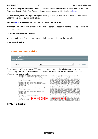There are three JS **Minification Levels** available: Remove Whitespaces, Simple Code Optimization, Advanced Code Optimization. Please find more details about minification levels [here](https://developers.google.com/closure/compiler/docs/compilation_levels).

With enabled **Ignore \*.min.js Files** option already minified JS files (usually contains "min" in the URL) will be skipped during minification.

#### **Running [cron](https://amasty.com/knowledge-base/magento-cron.html) job is required for the successful minification!**

**Minification Source** - You can select the File URL option, in case you want to exclude possible file encoding issues.

#### Click **Run Optimization Process**.

<span id="page-2-0"></span>You can run the minification process manually by button click or by the cron job.

#### **CSS Minification**

#### **Google Page Speed Optimizer**

| Javascript Minification |     |              |
|-------------------------|-----|--------------|
| <b>CSS Minification</b> |     |              |
| Enabled                 | Yes | [STORE VIEW] |

Set the option to 'Yes' to enable CSS code minification. During the minification process all unnecessary characters like new lines, comments and others will be accurately removed without affecting your source code.

| our bource coucr                                                                                                                                                                                                                                                                                                                                                                                                                                                                                                                                                                                                                                                |                                                                                                                                                                                                                                                                                                                                                                                                                                                                                                                                                                                                                                                                                                                                                                                                                                                                                                                                                                                                                                                                                                                                                                                                                                                                                                                      |
|-----------------------------------------------------------------------------------------------------------------------------------------------------------------------------------------------------------------------------------------------------------------------------------------------------------------------------------------------------------------------------------------------------------------------------------------------------------------------------------------------------------------------------------------------------------------------------------------------------------------------------------------------------------------|----------------------------------------------------------------------------------------------------------------------------------------------------------------------------------------------------------------------------------------------------------------------------------------------------------------------------------------------------------------------------------------------------------------------------------------------------------------------------------------------------------------------------------------------------------------------------------------------------------------------------------------------------------------------------------------------------------------------------------------------------------------------------------------------------------------------------------------------------------------------------------------------------------------------------------------------------------------------------------------------------------------------------------------------------------------------------------------------------------------------------------------------------------------------------------------------------------------------------------------------------------------------------------------------------------------------|
| .product-view .product-options-bottom .price-box,<br>.product-view .add-to-cart .gty-wrapper,<br>.product-view .add-to-cart-buttons .button,<br>.product-view .add-to-cart-buttons .paypal-logo {<br>margin-bottom: 10px;<br>.product-view .add-to-cart .qty-wrapper,<br>.product-view .add-to-cart .gty-wrapper label {<br>margin-right: 7px;<br>float: left;<br>.product-view .add-to-cart .gty-wrapper label {<br>line-height: 40px;<br>.product-view .add-to-cart .gty-wrapper .gty {<br>float: left;<br>height: 40px;<br>.product-view .add-to-cart-buttons {<br>float: left;<br>$\frac{\text{margin-right: 10px:}}{\text{max-width: 100k:}}\text{BEFORE}$ | .regular-price(padding-right:0;line-height:1.2}.p<br>.price{color:#39c;font-size:24px}.product-view.p<br>.product-shop .price-box .special-price span.weee<br>height:1.2;color:#636363}.product-view .product-s<br>excluding-tax .price,.product-view .product-shop<br>wrapper,.product-view .block-related(width:50%;fl<br>:-tax .label{font-size:15px}.product-view .product<br>to-cart-wrapper{float:none;width:100%;clear:both}<br>.price-excluding-tax .price,.product-view .produc<br>shop .price-box .price-including-tax(margin-botto<br>box(width:50%;float:left}.product-img-box .produc<br>width:47Spx){.product-img-box .product-image img{<br>gallery .gallery-image.visible.hidden{visibility:<br>gallery:before{background-color:white;opacity:0.8<br>repeat;background-position:center;z-index:3}.prod<br>block}.product-image-thumbs li:first-child{margin<br>.add-to-cart-wrapper,.product-view .block-related<br>bottom:10px}.product-view{}.product-view .add-to-<br>.add-to-cart .qty-wrapper,.product-view .product-<br>to-cart-buttone-button-product-view .add-to-car<br>.qty- <mark>Angp ar la</mark> pel <mark>iling ho</mark> ight:40px}.product-view<br>logo <mark>fctes:left</mark> :te <mark>xt-alig</mark> :center}.product-view<br>auto).product-view .add-to-cart-buttons .pavpal-l |

#### <span id="page-2-1"></span>**HTML Minification**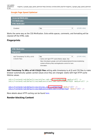#### Google Page Speed Optimizer

| Javascript Minification  |     |              |
|--------------------------|-----|--------------|
| <b>CSS Minification</b>  |     |              |
| <b>HTML Minification</b> |     |              |
| Enabled                  | Yes | [STORE VIEW] |

Works the same way as the CSS Minification. Extra white spaces, comments, and formatting will be cleaned off the HTML code.

#### <span id="page-3-0"></span>**Fingerprints**

| <b>HTML Minification</b>     |                                                                                                                                                                                                        |                     |
|------------------------------|--------------------------------------------------------------------------------------------------------------------------------------------------------------------------------------------------------|---------------------|
| <b>Fingerprints</b>          |                                                                                                                                                                                                        |                     |
| Add Timestamp To URLs of All | Yes                                                                                                                                                                                                    | <b>ISTORE VIEWI</b> |
| CSS/JS Files                 | ▲ Useful with high HTTP cache lifetime values. See<br>https://developers.google.com/web/fundamentals/performance/optimizing-<br>content-efficiency/http-caching#cache-control for more<br>information. |                     |

**Add Timestamp To URLs of All CSS/JS Files** setting adds timestamp to all JS and CSS files to make browser automatically update cached values once they are changed. Useful with high HTTP cache lifetime values.

```
/skin/frontend/rwd/default/css/styles-ie8.cs<mark>$?v=1475677523</mark> media="all" />
/skin/frontend/rwd/default/css/madisonisland-1e8.css?v=1475677523" media="all" />
```
/skin/frontend/rwd/default/css/styles.css?v=1475677523 media="all" /> /skin/frontend/rwd/default/css/madisonisland.css?v=1475677523" media="all" />

More details about HTTP caching can be found [here.](https://developers.google.com/web/fundamentals/performance/optimizing-content-efficiency/http-caching#cache-control)

#### <span id="page-3-1"></span>**Render-blocking Content**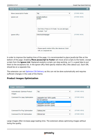| <b>Render-blocking Content</b> |                                                                                   |              | Δ |
|--------------------------------|-----------------------------------------------------------------------------------|--------------|---|
| Move Javascript to Footer      | Yes<br>▼                                                                          | [STORE VIEW] |   |
| Ignore List                    | google-analitycs<br>yandex                                                        | [STORE VIEW] |   |
|                                | A Don't Move These Js To Footer. You can add regex.<br>Example: "A.js/"           |              |   |
| Ignore URLs                    | /checkout/onepage/                                                                | [STORE VIEW] |   |
|                                | A Please specify relative URLs (like /about-us/). Each<br>URL on a separate line. |              |   |

In order to improve the loading time of the page, it is recommended to place JavaScript files at the bottom of the page. Enabling **Move Javascript to Footer** will move all JS scripts to the footer, except scripts from the **Ignore List**. Replaced analytics scripts can stop working, so it`s a good idea to put them to the exceptions list. In the Ignore URLs field specify relative URLs (like /about-us/). Each URL should be on a separate line.

The extension can not [Optimize CSS Delivery](https://developers.google.com/speed/docs/insights/OptimizeCSSDelivery) as this can not be done automatically and requires sufficient changes in the code of the theme.

#### **Product Images Optimization**

| <b>Images Optimization</b>                      |                                                                                                                                                | Δ                   |
|-------------------------------------------------|------------------------------------------------------------------------------------------------------------------------------------------------|---------------------|
| <b>Automatically Optimize Product</b><br>Images | Yes<br>۷.                                                                                                                                      | <b>ISTORE VIEWI</b> |
| Command For Jpeg Optimization                   | Jpegoptim tool 100% quality<br>v<br>Do not optimize<br>Jpegoptim tool 100% quality<br>Jpegoptim tool 90% quality<br>Jpegoptim tool 80% quality | <b>ISTORE VIEWI</b> |
| Command For Png Optimization                    | Optipng tool<br>▼                                                                                                                              | <b>ISTORE VIEWI</b> |
| <b>Command For Gif Optimization</b>             | Gifsicle tool<br>۷.                                                                                                                            | <b>ISTORE VIEWI</b> |

Large images often increase page loading time. The extension allows optimizing images without losing the quality.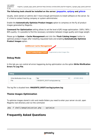#### **The following tools should be installed on the server:** *[jpegoptim](https://github.com/tjko/jpegoptim)***,** *[optipng](http://optipng.sourceforge.net/)* **and** *[gifsicle](https://www.lcdf.org/gifsicle/)*

Usually, store owners or admins don`t have enough permissions to install software on the server. So it`s time to contact hosting company or system administrator.

Enable the **Automatically Optimize Product Images** option to compress on the fly all product images generated by Magento.

**Command For Optimization** setting allows to set the level of JPG image optimization: 100% / 90% / 80% quality. It is possible to find the necessary correlation between image quality and image weight.

Please go to **System** → **Cache Management** and click the '**Flush Catalog Images**' button to optimize product images after installing requested tools and enabling **Automatically Optimize Product Images** option.

| <b>Additional Cache Management</b> |                                    |
|------------------------------------|------------------------------------|
|                                    |                                    |
|                                    |                                    |
| <b>Flush Catalog Images Cache</b>  | Pregenerated product images files. |

#### **Debug Mode**

In this tab you can control all errors happening during optimization via the option **Write Minification Errors To Log File**.

| <b>Debug</b>                     |                                             |                     |  |
|----------------------------------|---------------------------------------------|---------------------|--|
| Write Minification Errors To Log | Yes                                         | <b>ISTORE VIEWI</b> |  |
| File                             | $\triangle$ MAGENTO ROOT/var/log/system.log |                     |  |

The log file is situated here: *MAGENTO\_ROOT/var/log/system.log*.

#### <span id="page-5-1"></span>**Theme Images Optimization**

To optimize images stored in skin and media folders you need to enter your server via ssh, open Magento root directory and run the command:

php -f shell/amoptimization.php -- optimize

### <span id="page-5-0"></span>**Frequently Asked Questions**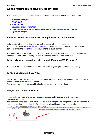#### **Which problems can be solved by the extension?**

The extension can help to solve the following issues (click on the issue to find the solution):

- *[Minify JavaScript](#page-1-0)*
- *[Minify CSS](#page-2-0)*
- *[Minify HTML](#page-2-1)*
- *[Leverage browser caching](#page-3-0)*
- *[Eliminate render-blocking JavaScript and CSS in above-the-fold content](#page-3-1)*
- *[Optimize images](#page--1-0)*

#### **How can I check what the rank I will get after the installation?**

Unfortunately, there is no clear answer, as there are a lot of circumstances. You can check your site in [PageSpeed Insights](https://developers.google.com/speed/pagespeed/insights/) tool to find the list of problems on your site and compare it with the **[list of the issues](#page-5-0)** our extension can help with.

The issues from the red *Should Fix* list affect the rank primarily. So there is no point fixing issues from the yellow *Consider Fixing* list before resolving more important red issues.

#### **Is the extension compatible with default Magento CSS/JS merge?**

Yes, the extension is fully compatible with the native Magento JS/CSS merge functionality.

#### **JS has not been minified. Why?**

Please check if the [cron job](https://amasty.com/knowledge-base/magento-cron.html) is running and if there is direct access to the Magento from the internet, as the [external minification tool](https://developers.google.com/closure/compiler/) is used.

Please note, some time for js minification is needed (approximately 1 hour).

#### **Images are still not optimized.**

Please make sure you followed both *[product images optimization](#page--1-0)* and *[theme images](#page-5-1)*

#### *[optimization](#page-5-1)* guides.

The issue can be caused as well by using large source images – the image shown on the front end is much smaller than the original file. Resizing of the original images can solve such issues.